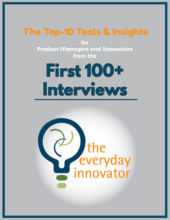## The Top-10 Tools & Insights

The Top-10 Tools & Insights

**1**

**for Product Managers and Innovators from the**

## **First 100+ Interviews**

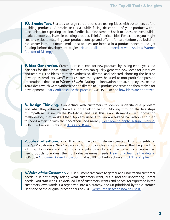**10. Smoke Test.** Startups to large corporations are testing ideas with customers before building products. A smoke test is a public facing description of your product with a mechanism for capturing opinion, feedback, or investment. Use it to assess or even build a market before you invest in building product. Think American Idol. For example, you might create a website featuring your product concept and offer it for sale (before you build it). Kickstarter is the ultimate smoke test to measure interest in a product concept and get funding before development begins. Hear details in the interview with Andrew Warner, [founder of Mixergy.](http://productinnovationeducators.com/blog/tei-007-simple-steps-using-minimal-viable-product-approach-create-product-customers-love-mixergy-founder-andrew-warner/)

**9. Idea Generation.** Create more concepts for new products by asking employees and partners for their ideas. Structured sessions can quickly generate new ideas for products and features. The ideas are then synthesized, filtered, and selected, choosing the best to develop as products. Geoff Peters shares the system he used at non-profit Compassion International that led to *Water of Life.* During an innovation retreat, employees created 1200 ideas, which were synthesized and filtered to 35 product concepts and then ranked for development. [Hear Geoff describe the process.](http://productinnovationeducators.com/blog/tei-009-how-a-non-profit-used-an-idea-management-system-to-create-life-saving-productswith-product-marketing-director-geoff-peters/) BONUS – listen to [how ideas are prioritized.](http://productinnovationeducators.com/blog/tei-054-selecting-the-best-product-ideas-with-svp-peter-duggan/)

**8. Design Thinking.** Connecting with customers to deeply understand a problem and what they value is where Design Thinking begins. Moving through the five steps of Empathize Define, Ideate, Prototype, and Test, this is a customer-focused innovation methodology that works. Ethan Appleby used it to win a weekend hackathon and then founded a startup with the hackathon seed money. Hear how to apply Design Thinking. BONUS – Design Thinking at [IDEO and Bose.](http://productinnovationeducators.com/blog/tei041-using-story-prototyping-in-a-design-thinking-framework-with-designer-mark-zeh/) 

**7. Jobs-To-Be-Done.** Tony Ulwick and Clayton Christensen created JTBD for identifying the "job" customers "hire" a product to do. It involves six processes that begin with a job map to understand the customers' job-to-be-done and ends with conceptualized new products to address the most valuable unmet needs. [Hear Tony describe the details](http://productinnovationeducators.com/blog/tei-106-jobs-to-be-done-with-tony-ulwick/). BONUS [– Outcome Driven Innovation](http://productinnovationeducators.com/blog/tei-045-understand-what-customers-need-before-developing-a-product-with-tony-ulwick/) that is JTBD put into action and [JTBD examples](http://productinnovationeducators.com/blog/tei-057-applying-the-jobs-to-be-done-framework-with-chris-spiek/)

**6. Voice of the Customer.** VOC is customer research to gather and understand customer needs. It is not simply asking what customers want, but a tool for uncovering unmet needs. You start with (1) a detailed list of customers' wants and needs, (2) expressed in the customers' own words, (3) organized into a hierarchy, and (4) prioritized by the customer. Hear one of the original practitioners of VOC, [Gerry Katz describe how to use it.](http://productinnovationeducators.com/blog/tei-071-how-product-managers-can-conduct-voice-of-the-customer-research-with-gerry-katz/)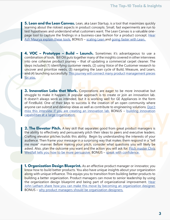**5. Lean and the Lean Canvas.** Lean, aka Lean Startup, is a tool that maximizes quickly learning about the riskiest aspects in product concepts. Small, fast experiments are run to test hypotheses and understand what customers want. The Lean Canvas is a valuable onepage tool to capture the findings in a business-case fashion for a product concept. [Hear](http://productinnovationeducators.com/blog/tei-010-titleusing-lean-to-run-experiments-and-deliver-customer-value-with-ash-maurya/)  [Ash Maurya explain these tools.](http://productinnovationeducators.com/blog/tei-010-titleusing-lean-to-run-experiments-and-deliver-customer-value-with-ash-maurya/) BONUS - [scaling Lean](http://productinnovationeducators.com/blog/tei-077-scaling-lean-product-management-with-ash-maurya/) and going faster with Lean.

**4. VOC – Prototype – Build – Launch.** Sometimes it's advantageous to use a combination of tools. Bill Ott puts together many of the insights covered in other interviews into one cohesive product journey – that of updating a commercial carpet cleaner. The steps included (1) identifying customer needs, (2) using Voice of the Customer research to uncover and prioritize needs, (3) navigating the Lean cycle of Build, Measure, and Learn, and (4) launching successfully. [This journey will connect many product](http://productinnovationeducators.com/blog/tei-103-how-karcher-developed-a-new-product-that-captured-the-market-with-bill-ott/) management pieces [for you.](http://productinnovationeducators.com/blog/tei-103-how-karcher-developed-a-new-product-that-captured-the-market-with-bill-ott/)

**3. Innovation Labs that Work.** Corporations are eager to be more innovative but struggle to make it happen. A popular approach is to create or join an innovation lab. It doesn't always work as intended, but it is working well for GE Appliances in the form of FirstBuild. One of their keys to success is the creation of an open community where anyone can submit and develop ideas as well as contribute to engineering solutions. [Don't](http://productinnovationeducators.com/blog/tei-110-how-ges-firstbuild-creates-products-with-taylor-dawson/)  [miss this interview if you are creating an innovation lab.](http://productinnovationeducators.com/blog/tei-110-how-ges-firstbuild-creates-products-with-taylor-dawson/) BONUS – building innovation [capabilities at a large organization.](http://productinnovationeducators.com/blog/tei-046-building-a-global-innovation-capability-at-a-large-enterprise-with-caterpillar-director-of-innovation-ken-gray/)

**2. The Elevator Pitch.** A key skill that separates good from great product managers is the ability to effectively and persuasively pitch their ideas to peers and executive leaders. Crafting elevator pitches builds this ability. Begin by understanding the interests of your audience. Then frame your message in a surprising way that makes them respond in a "tell me more" manner. Before making your pitch, consider what questions you will likely be asked. Also, plan the outcome you want and the action you will ask for. Pitch master Chris [Westfall tells you how to be more persuasive.](http://productinnovationeducators.com/blog/tei-097-how-product-managers-pitch-and-sell-ideas-to-managers-with-chris-westfall/) BONUS – [speak with confidence.](http://productinnovationeducators.com/blog/tei-099-speaking-with-confidence-with-caroline-goyder/)

**1. Organization Design Blueprint.** As an effective product manager or innovator, you know how to build better products. You also have unique insights about your organization along with unique influence. This equips you to transition from building better products to building a better organization. Product managers can move to senior leadership by using the organization design blueprint and being part of organizational improvement. [Hear](http://productinnovationeducators.com/blog/tei-109-how-product-managers-can-design-the-organization-they-want-with-john-latham-phd/)  John Latham share how you can make this move by becoming an organization designer. BONUS – [why product managers should be organization designers.](http://productinnovationeducators.com/blog/tei061-product-managers-are-uniquely-prepared-to-transform-organizations-for-greater-success-with-john-latham-phd/)